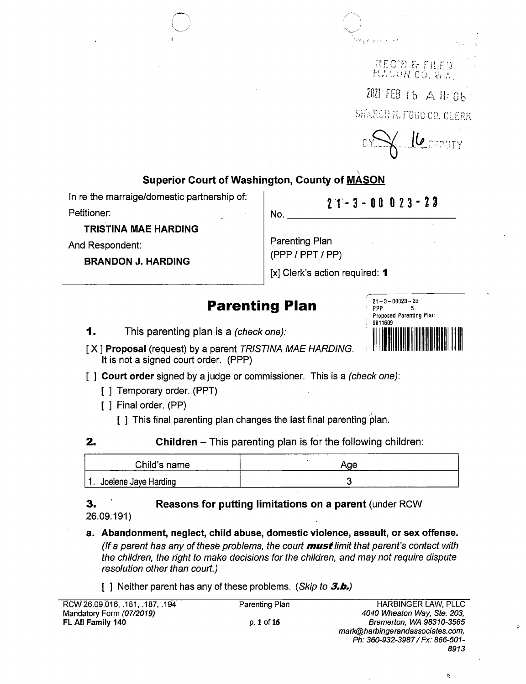

16 CEPUTY

# Superior Court of Washington, County of <u>MÀSON</u>

In re the marraige/domestic partnership of:<br>
Petitioner: 2 1 - 3 - 0 0 0 2 3 - 2 3

Petitioner:

**TRISTINA MAE HARDING** 

And Respondent:

**BRANDON J. HARDING** 

 $N$ o.  $\blacksquare$ 

Parenting Plan (PPP / PPT / PP)

[x] Clerk's action required: **1** 

# **Parenting Plan** 21-3-00023-23

- **1.** This parenting plan is a (check one):
- [X] **Proposal** (request) by a parent TRISTINA MAE HARDING. It is not a signed court order. (PPP)
- [  $\vert$  **Court order** signed by a judge or commissioner. This is a *(check one)*:
	- [ ] Temporary order. (PPT)
	- [ ] Final order. (PP)

[ ] This final parenting plan changes the last final parenting plan.

| 2. |  |  | <b>Children</b> – This parenting plan is for the following children: |
|----|--|--|----------------------------------------------------------------------|
|----|--|--|----------------------------------------------------------------------|

| Child's name                                            | Age |  |
|---------------------------------------------------------|-----|--|
| Joelene Jaye Harding<br>the contract of the contract of |     |  |

#### **3.**  26.09.191) **Reasons for putting limitations on a parent** (under RCW

- **a. Abandonment, neglect, child abuse, domestic violence, assault, or sex offense.**  (If a parent has any of these problems, the court **must** limit that parent's contact with the children, the right to make decisions for the children, and may not require dispute resolution other than court.)
	- [ ] Neither parent has any of these problems. (Skip to **3.b.**)

g,

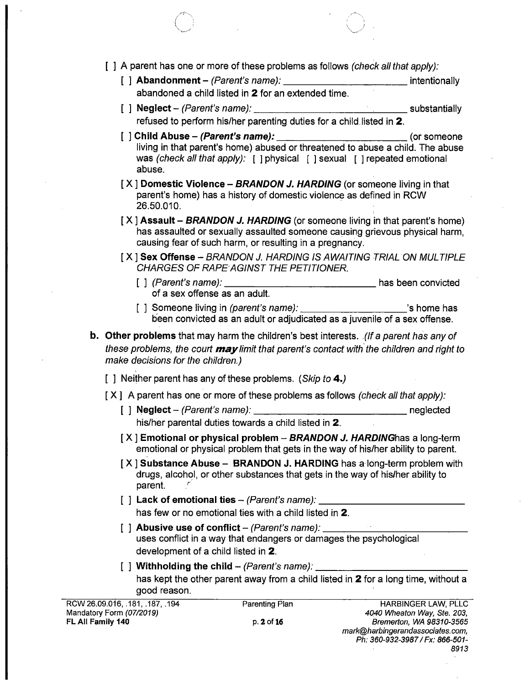- [ ] A parent has one or more of these problems as follows *(check all that apply)*:
	- [ ] **Abandonment**  (Parent's name): \_\_\_\_\_\_\_\_\_\_ intentionally abandoned a child listed in **2** for an extended time.
	- [ ] **Neglect** (*Parent's name):*<br>contract the substantially refused to perform his/her parenting duties for a child listed in **2.**
	- [ ] **Child Abuse (Parent's name): \_\_\_\_\_\_\_\_\_\_\_** (or someone living in that parent's home) abused or threatened to abuse a child. The abuse was (check all that apply): [ ] physical [ ] sexual [ ] repeated emotional abuse.
	- [ **X] Domestic Violence BRANDON** *J.* **HARDING** (or someone living in that parent's home) has a history of domestic violence as defined in RCW 26.50.010.
	- [X] **Assault BRANDON J. HARDING** (or someone living in that parent's home) has assaulted or sexually assaulted someone causing grievous physical harm, causing fear of such harm, or resulting in a pregnancy.
	- [X ] **Sex Offense** BRANDON J. HARDING IS AWAITING TRIAL ON MULTIPLE CHARGES OF RAPE AGINST THE PETITIONER.
		- [ ] (Parent's name):  $\blacksquare$ of a sex offense as an adult.
		- [ ] Someone living in *(parent's name):* The same of the set of the set of the has been convicted as an adult or adjudicated as a juvenile of a sex offense.
- **b.** Other problems that may harm the children's best interests. If a parent has any of these problems, the court **may** limit that parent's contact with the children and right to make decisions for the children.)
	- [ ] Neither parent has any of these problems. ( Skip to **4.)**
	- [ $X$ ] A parent has one or more of these problems as follows *(check all that apply):* 
		- [ ] **Neglect**  (Parent's name): \_\_\_\_\_\_\_\_\_\_\_\_ neglected his/her parental duties towards a child listed in **2.**
		- [ **X** ] **Emotional or physical problem BRANDON J. HARDINGhas** a long-term emotional or physical problem that gets in the way of his/her ability to parent.
		- [ **X] Substance Abuse BRANDON J. HARDING** has a-Icing-term problem with drugs, alcohol, or other substances that gets in the way of his/her ability to parent.
		- [ ] **Lack of emotional ties** (Parent's name): has few or no emotional ties with a child listed in **2.**
		- [ ] **Abusive use of conflict** (Parent's name): uses conflict in a way that endangers or damages the psychological development of a child listed in **2.**
		- [ ] **Withholding the child** (Parent's name): has kept the other parent away from a child listed in **2** for a long time, without a good reason.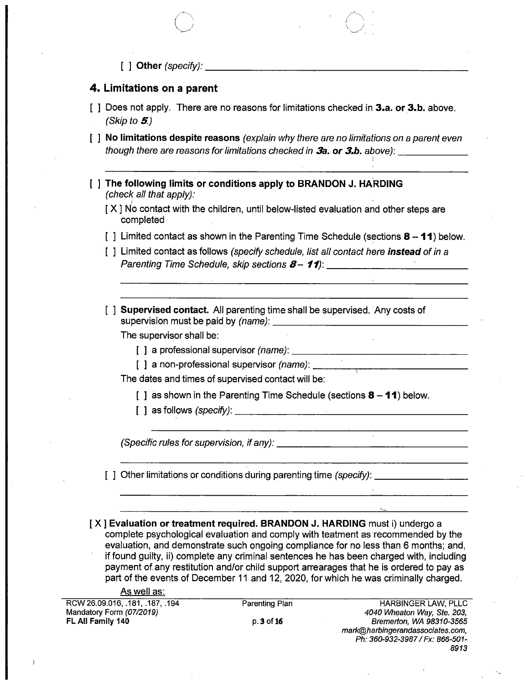[ ] **Other** (specify):

### **4. Limitations on a parent·**

- [ ] Does not apply. There are no reasons for limitations checked in **3.a. or.3.b.** above. (Skip to **5.)**
- [ ] **No limitations despite reasons** (explain why there are no limitations on a parent even though there are reasons for limitations checked in **3a. or 3.b.** above):
- [ ] **The following limits or conditions apply to BRANDON J. HiRDING**  (check all that apply):
	- [ **X** ] No contact with the children, until below-listed evaluation and other steps are completed
	- [ ] Limited contact as shown in the Parenting Time Schedule (sections **8 -11)** below.
	- [ ] Limited contact as follows (specify schedule, list all contact here **instead** of in a Parenting Time Schedule, skip sections  $B - 11$ :
	- [ ] **Supervised contact.** All parenting time shall be supervised. Any costs of supervision must be paid by *(name)*:

The supervisor shall be:

- [ ] a professional supervisor (name): \_\_\_\_\_\_\_\_\_\_\_\_\_\_ \_
- [ ] a non-professional supervisor (name): \_\_\_\_\_\_\_\_\_\_\_\_ \_

The dates and times of supervised contact will be:

[ ] as shown in the Parenting Time Schedule (sections **8 -11)** below.

[ ] as follows *(specify)*: \_\_\_\_\_\_\_\_\_\_\_\_\_\_\_\_\_\_\_\_\_\_\_\_\_\_\_\_

(Specific rules for supervision, if any):  $\frac{1}{2}$   $\frac{1}{2}$   $\frac{1}{2}$   $\frac{1}{2}$   $\frac{1}{2}$   $\frac{1}{2}$   $\frac{1}{2}$   $\frac{1}{2}$   $\frac{1}{2}$   $\frac{1}{2}$   $\frac{1}{2}$   $\frac{1}{2}$   $\frac{1}{2}$   $\frac{1}{2}$   $\frac{1}{2}$   $\frac{1}{2}$   $\frac{1}{2}$   $\frac{1}{2}$ 

[ ] Other limitations or conditions during parenting time (specify): \_\_\_\_\_\_\_\_\_\_\_\_\_\_\_\_\_\_

[ **X** ] **Evaluation or treatment required. BRANDON J. HARDING** must i) undergo a complete psychological evaluation and comply with teatment as recommended by the evaluation, and demonstrate such ongoing compliance for no less than 6 months; and, if found guilty, ii) complete any criminal sentences he has been charged with, including payment of. any restitution and/or child support arrearages that he is ordered to pay as part of the events of December 11 and 12, 2020, for which he was criminally charged.

As well as:

RCW26.09.016, .181, .187, .194 Mandatory Form (07/2019) FL **All Family 140**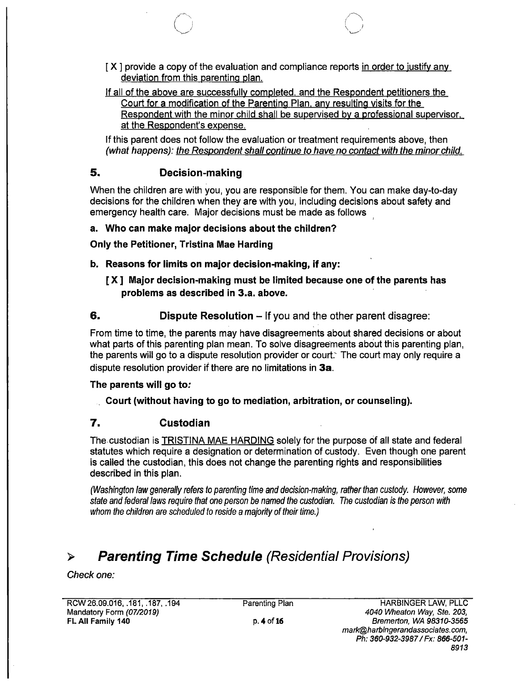- [X] provide a copy of the evaluation and compliance reports in order to justify any deviation from this parenting plan.
- If all of the above are successfully completed, and the Respondent petitioners the Court for a modification of the Parenting Plan, any resulting visits for the Respondent with the minor child shall be supervised by a professional supervisor, at the Respondent's expense .

If this parent does not follow the evaluation or treatment requirements above, then (what happens): the Respondent shall continue to have no contact with the minor child.

#### **5. Decision-making**

When the children are with you, you are responsible for them. You can make day-to-day decisions for the children when they are with you, including decisions about safety and emergency health care. Major decisions must be made as follows

## **a. Who can make major decisions about the children?**

**Only the Petitioner, Tristina Mae Harding** 

## **b. Reasons for limits on major decision-making, if any:**

# [ **X] Major decision-making must be limited because one of the parents has problems as described in 3.a. above.**

# **6. Dispute Resolution** – If you and the other parent disagree:

From time to time, the parents may have disagreements about shared decisions or about what parts of this parenting plan mean. To solve disagreements about this parenting plan, the parents will go to a dispute resolution provider or court. The court may only require a dispute resolution provider if there are no limitations in **3a .** 

### **The parents will go to:**

**Court (without having to go to mediation, arbitration, or counseling).** 

# **7. Custodian**

The custodian is **TRISTINA MAE HARDING** solely for the purpose of all state and federal statutes which require a designation or determination of custody . Even though one parent is called the custodian, this does not change the parenting rights and responsibilities described in this plan.

(Washington law generally refers to parenting time and decision-making , rather than custody. However, some state and federal laws require that one person be named the custodian. The custodian is the person with whom the children are scheduled to reside a majority of their time.)

# ► **Parenting Time Schedule** (Residential Provisions)

### Check one: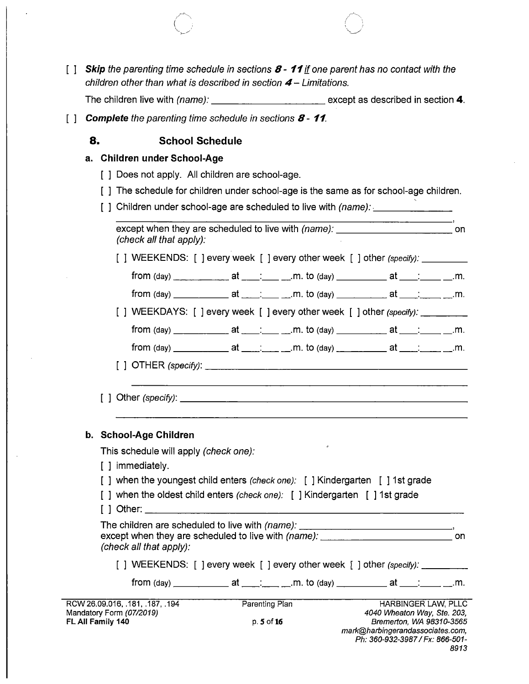| <b>Skip</b> the parenting time schedule in sections $8 - 11$ if one parent has no contact with the |                                  |
|----------------------------------------------------------------------------------------------------|----------------------------------|
| children other than what is described in section $4$ – Limitations.                                |                                  |
| The children live with <i>(name):</i>                                                              | except as described in section 4 |

[ ] *Complete* the parenting time schedule in sections *8* **-** *11.* 

## **8. School Schedule**

### **a. Children under School-Age**

- [ ] Does not apply. All children are school-age.
- [ ] The schedule for children under school-age is the same as for school-age children.
- [] Children under school-age are scheduled to live with  $(name):$

except when they are scheduled to live with (name): \_\_\_\_\_\_\_\_\_\_\_\_\_\_\_\_\_\_\_\_\_\_\_\_\_\_\_\_ on (check all that apply):

- [ ] WEEKENDS: [ ] every week [ ] every other week [ ] other (specify): \_\_\_\_\_\_\_\_
	- from  $\text{(day)}$  \_\_\_\_\_\_\_\_\_\_\_\_\_\_\_\_ at \_\_\_\_; \_\_\_\_\_\_\_\_\_.m. to  $\text{(day)}$  \_\_\_\_\_\_\_\_\_\_\_\_\_\_\_\_\_\_\_\_\_\_\_\_\_\_\_\_\_\_.m.
	- $from (day)$  \_\_\_\_\_\_\_\_\_\_\_\_\_\_\_\_\_ at \_\_\_\_\_; \_\_\_\_\_\_\_.m. to  $(\text{day})$  \_\_\_\_\_\_\_\_\_\_\_\_\_\_\_\_\_\_\_\_\_\_\_\_\_\_\_.m.
- [ ] WEEKDAYS: [ ] every week [ ] every other week [ ] other (specify): \_\_\_\_\_\_\_\_ from (day) \_\_\_\_\_\_\_\_\_\_\_\_ at \_\_\_\_:\_\_\_ \_\_.m. to (day) \_\_\_\_\_\_\_\_\_\_\_ at \_\_\_\_: \_\_\_\_ \_\_.m.
	- from (day) \_\_\_\_\_\_\_\_\_\_\_\_\_ at \_\_\_\_\_ \_\_\_.m. to (day) \_\_\_\_\_\_\_\_\_\_ at \_\_\_\_ \_\_\_\_ \_\_.m.
- [ ] OTHER (specify): \_\_\_\_\_\_\_\_\_\_\_\_\_\_\_\_\_\_\_\_ \_
- [ ] Other (specify): \_\_\_\_\_\_\_\_\_\_\_\_\_\_\_\_\_\_\_\_\_\_ \_

### **b. School-Age Children**

This schedule will apply (check one):

- [ ] immediately.
- [ ] when the youngest child enters (check one): [ ] Kindergarten [ ] 1st grade
- [ ] when the oldest child enters (check one): [ ] Kindergarten [ ] 1st grade
- [ ] Other: \_\_\_\_\_\_\_\_\_\_\_\_\_\_\_\_\_\_

| The children are scheduled to live with (name):            |     |
|------------------------------------------------------------|-----|
| except when they are scheduled to live with <i>(name):</i> | on. |
| (check all that apply):                                    |     |

[ ] WEEKENDS: [ ] every week [ ] every other week [ ] other (specify): \_\_\_

from (day) \_\_\_\_\_ at \_\_ : \_\_ .m. to (day) \_\_\_\_ at \_\_ . \_\_\_ .m.

| RCW 26.09.016, .181, .187, .194 |  |  |
|---------------------------------|--|--|
| Mandatory Form (07/2019)        |  |  |
| FL All Family 140               |  |  |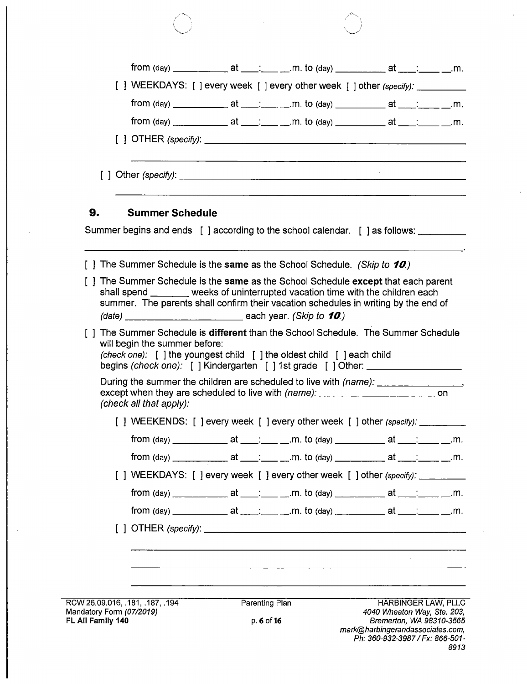|                                                                                                                    | [ ] WEEKDAYS: [ ] every week [ ] every other week [ ] other (specify): _________                                                                                         |  |  |
|--------------------------------------------------------------------------------------------------------------------|--------------------------------------------------------------------------------------------------------------------------------------------------------------------------|--|--|
|                                                                                                                    |                                                                                                                                                                          |  |  |
|                                                                                                                    | from (day) _________________ at _____; ________.m. to (day) _____________ at ____; _________.m.                                                                          |  |  |
|                                                                                                                    |                                                                                                                                                                          |  |  |
|                                                                                                                    |                                                                                                                                                                          |  |  |
| 9.<br><b>Summer Schedule</b>                                                                                       |                                                                                                                                                                          |  |  |
| Summer begins and ends [ ] according to the school calendar. [ ] as follows: _________                             |                                                                                                                                                                          |  |  |
|                                                                                                                    | The Summer Schedule is the same as the School Schedule. (Skip to 10.)                                                                                                    |  |  |
| [ ] The Summer Schedule is the same as the School Schedule except that each parent                                 | shall spend _______ weeks of uninterrupted vacation time with the children each<br>summer. The parents shall confirm their vacation schedules in writing by the end of   |  |  |
| [] The Summer Schedule is different than the School Schedule. The Summer Schedule<br>will begin the summer before: |                                                                                                                                                                          |  |  |
|                                                                                                                    | (check one): [ ] the youngest child [ ] the oldest child [ ] each child<br>begins (check one): [ ] Kindergarten [ ] 1st grade [ ] Other: __________________              |  |  |
| (check all that apply):                                                                                            | During the summer the children are scheduled to live with (name): _______________<br>except when they are scheduled to live with (name): ____________________________ on |  |  |
|                                                                                                                    | [ ] WEEKENDS: [ ] every week [ ] every other week [ ] other (specify): _________                                                                                         |  |  |
|                                                                                                                    | from (day) ________________ at ____; ____ __.m. to (day) ____________ at ____; _____ __.m.                                                                               |  |  |
|                                                                                                                    | from (day) ________________ at ____; ________.m. to (day) ______________ at ____; ________.m.                                                                            |  |  |
|                                                                                                                    | [] WEEKDAYS: [ ] every week [ ] every other week [ ] other (specify): ________                                                                                           |  |  |
|                                                                                                                    | from (day) ________________ at ____; ____ __.m. to (day) ____________ at ____; ________.m.                                                                               |  |  |
|                                                                                                                    |                                                                                                                                                                          |  |  |
|                                                                                                                    |                                                                                                                                                                          |  |  |
|                                                                                                                    |                                                                                                                                                                          |  |  |
|                                                                                                                    |                                                                                                                                                                          |  |  |

 $\mathbb{Z}$ 

 $\ddot{\phantom{0}}$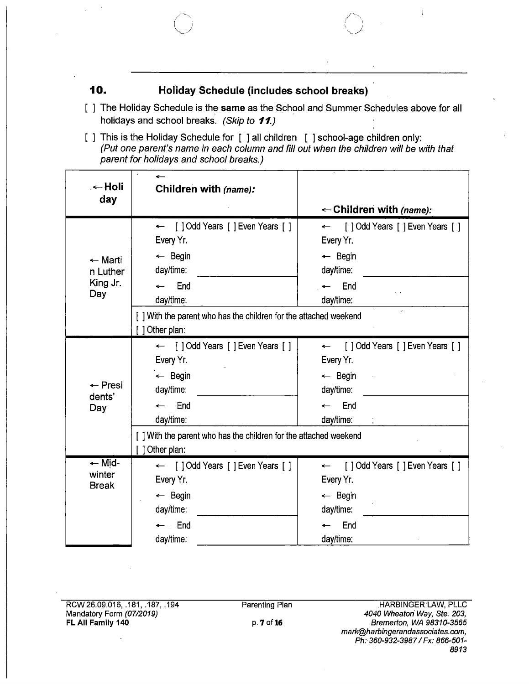# **10. Holiday Schedule (includes school breaks)**

- [ ] The Holiday Schedule is the **same** as the School and Summer Schedules above for all holidays and school breaks. (Skip to *11.)*
- [ ] This is the Holiday Schedule for [ ] all children [ ] school-age children only: (Put one parent's name in each column and fill out when the children will be with that

|                                        | parent for holidays and school breaks.)                                                                                                                                                                                |                                                                                                                                       |  |  |
|----------------------------------------|------------------------------------------------------------------------------------------------------------------------------------------------------------------------------------------------------------------------|---------------------------------------------------------------------------------------------------------------------------------------|--|--|
| $\leftarrow$ Holi<br>day               | Children with (name):                                                                                                                                                                                                  | ← Children with (name):                                                                                                               |  |  |
| ← Marti<br>n Luther<br>King Jr.<br>Day | $\leftarrow$ [] Odd Years [] Even Years []<br>Every Yr.<br>$\leftarrow$ Begin<br>day/time:<br>End<br>$\leftarrow$<br>day/time:<br>[ ] With the parent who has the children for the attached weekend<br>Other plan:     | [] Odd Years [] Even Years []<br>$\leftarrow$<br>Every Yr.<br>$\leftarrow$ Begin<br>day/time:<br>End<br>$\longleftarrow$<br>day/time: |  |  |
| $\leftarrow$ Presi<br>dents'<br>Day    | $\leftarrow$ [] Odd Years [] Even Years []<br>Every Yr.<br>$\leftarrow$ Begin<br>day/time:<br>End<br>$\leftarrow$<br>day/time:<br>[ ] With the parent who has the children for the attached weekend<br>[ ] Other plan: | ← [] Odd Years [] Even Years []<br>Every Yr.<br>$\leftarrow$ Begin<br>day/time:<br>End<br>$\leftarrow$<br>day/time:                   |  |  |
| ← Mid-<br>winter<br><b>Break</b>       | $\leftarrow$ [] Odd Years [] Even Years []<br>Every Yr.<br>$\leftarrow$ Begin<br>day/time:<br>$\leftarrow$ End<br>day/time:                                                                                            | [ ] Odd Years [ ] Even Years [ ]<br>$\leftarrow$<br>Every Yr.<br>$\leftarrow$ Begin<br>day/time:<br>End<br>$\leftarrow$<br>day/time:  |  |  |

J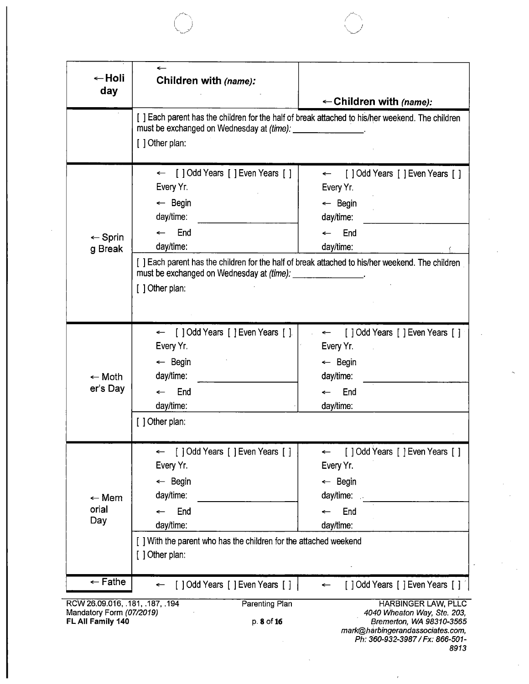



| ←Holi<br>day                                                                     | $\longleftarrow$<br>Children with (name):                                                                                                                                                            | ← Children with (name):                                                                                                                                                                                                |
|----------------------------------------------------------------------------------|------------------------------------------------------------------------------------------------------------------------------------------------------------------------------------------------------|------------------------------------------------------------------------------------------------------------------------------------------------------------------------------------------------------------------------|
|                                                                                  | must be exchanged on Wednesday at (time): _______________.<br>[ ] Other plan:                                                                                                                        | [ ] Each parent has the children for the half of break attached to his/her weekend. The children                                                                                                                       |
| $\leftarrow$ Sprin<br>g Break                                                    | ← [] Odd Years [] Even Years []<br>Every Yr.<br>$\leftarrow$ Begin<br>day/time:<br>End<br>$\leftarrow$<br>day/time:<br>must be exchanged on Wednesday at (time): _______________.<br>[ ] Other plan: | ← [] Odd Years [] Even Years []<br>Every Yr.<br>$\leftarrow$ Begin<br>day/time:<br>End<br>$\leftarrow$<br>day/time:<br>[] Each parent has the children for the half of break attached to his/her weekend. The children |
| $\leftarrow$ Moth<br>er's Day                                                    | ← [] Odd Years [] Even Years []<br>Every Yr.<br>$\leftarrow$ Begin<br>day/time:<br>End<br>$\leftarrow$<br>day/time:<br>[ ] Other plan:                                                               | ← [] Odd Years [] Even Years []<br>Every Yr.<br>$\leftarrow$ Begin<br>day/time:<br>End<br>$\overline{\phantom{m}}$<br>day/time:                                                                                        |
| $\leftarrow$ Mem<br>orial<br>Day                                                 | ← [] Odd Years [] Even Years []<br>Every Yr.<br>$\leftarrow$ Begin<br>day/time:<br>End<br>day/time:<br>[ ] With the parent who has the children for the attached weekend<br>[ ] Other plan:          | [] Odd Years [] Even Years []<br>Every Yr.<br>$\leftarrow$ Begin<br>day/time:<br>End<br>day/time:                                                                                                                      |
| $\overline{\leftarrow}$ Fathe                                                    | $\leftarrow$ [] Odd Years [] Even Years []                                                                                                                                                           | [ ] Odd Years [ ] Even Years [ ]<br>$\leftarrow$                                                                                                                                                                       |
| RCW 26.09.016, .181, .187, .194<br>Mandatory Form (07/2019)<br>FL All Family 140 | Parenting Plan<br>p. 8 of 16                                                                                                                                                                         | <b>HARBINGER LAW, PLLC</b><br>4040 Wheaton Way, Ste. 203,<br>Bremerton, WA 98310-3565<br>mark@harbingerandassociates.com,<br>Ph: 360-932-3987 / Fx: 866-501-                                                           |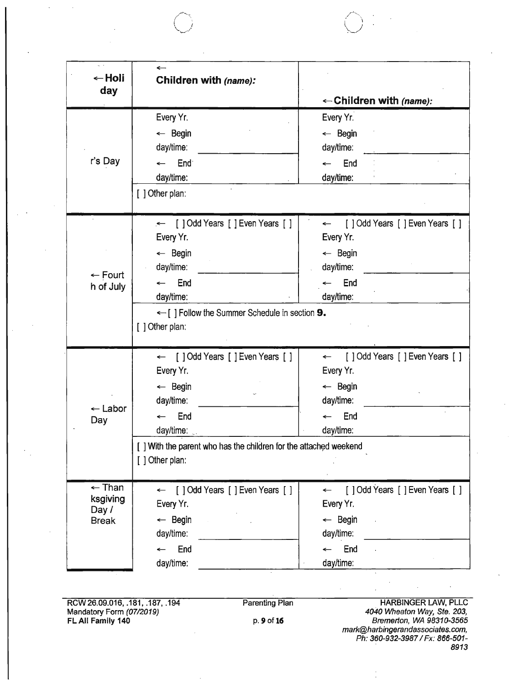| ← Holi<br>day                   | $\leftarrow$<br>Children with (name):                             |                                            |  |
|---------------------------------|-------------------------------------------------------------------|--------------------------------------------|--|
|                                 |                                                                   | $\leftarrow$ Children with (name):         |  |
|                                 | Every Yr.                                                         | Every Yr.                                  |  |
|                                 | $\leftarrow$ Begin                                                | $\leftarrow$ Begin                         |  |
|                                 | day/time:                                                         | day/time:                                  |  |
| r's Day                         | End<br>$\leftarrow$                                               | End<br>$\leftarrow$                        |  |
|                                 | day/time:                                                         | day/time:                                  |  |
|                                 | [ ] Other plan:                                                   |                                            |  |
|                                 | ← [] Odd Years [] Even Years []                                   | ← [] Odd Years [] Even Years []            |  |
|                                 | Every Yr.                                                         | Every Yr.                                  |  |
|                                 | $\leftarrow$ Begin                                                | $\leftarrow$ Begin                         |  |
|                                 | day/time:                                                         | day/time:                                  |  |
| $\leftarrow$ Fourt<br>h of July | End<br>$\leftarrow$                                               | End                                        |  |
|                                 | day/time:                                                         | day/time:                                  |  |
|                                 | ← [ ] Follow the Summer Schedule in section 9.                    |                                            |  |
|                                 | [ ] Other plan:                                                   |                                            |  |
|                                 | ← [ ] Odd Years [ ] Even Years [ ]                                | ← [] Odd Years [] Even Years []            |  |
|                                 | Every Yr.                                                         | Every Yr.                                  |  |
|                                 | $\leftarrow$ Begin                                                | $\leftarrow$ Begin                         |  |
| $\leftarrow$ Labor              | day/time:                                                         | day/time:                                  |  |
| Day                             | End                                                               | End                                        |  |
|                                 | ____________________________ day/time:<br>day/time:               |                                            |  |
|                                 | [ ] With the parent who has the children for the attached weekend |                                            |  |
|                                 | [ ] Other plan:                                                   |                                            |  |
|                                 |                                                                   |                                            |  |
| $\leftarrow$ Than<br>ksgiving   | ← [] Odd Years [] Even Years []                                   | $\leftarrow$ [] Odd Years [] Even Years [] |  |
| Day /                           | Every Yr.                                                         | Every Yr.                                  |  |
| <b>Break</b>                    | $\leftarrow$ Begin                                                | $\leftarrow$ Begin<br>$\sim$ 14            |  |
|                                 | day/time:                                                         | day/time:                                  |  |
|                                 | End<br>$\leftarrow$                                               | End<br>$\leftarrow$                        |  |
|                                 | day/time:                                                         | day/time:<br>$\mathbf{r}$ .                |  |

p. **9ofl6**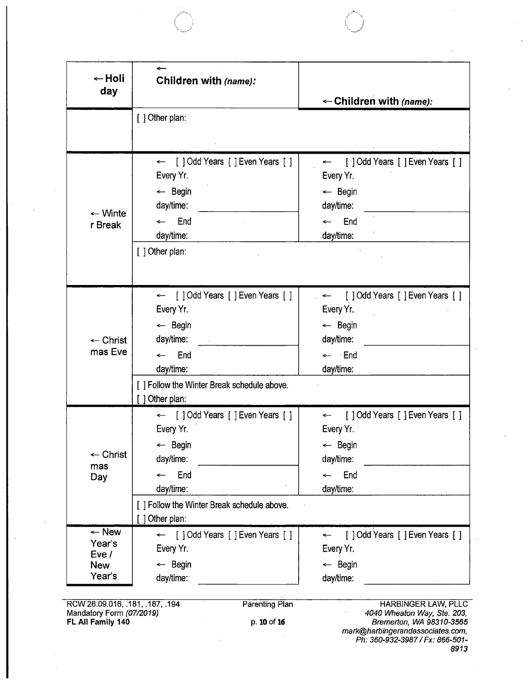| ← Holi<br>day                                               | $\longleftarrow$<br>Children with (name):                                                                                                                                                | ← Children with (name):                                                                                                            |
|-------------------------------------------------------------|------------------------------------------------------------------------------------------------------------------------------------------------------------------------------------------|------------------------------------------------------------------------------------------------------------------------------------|
|                                                             | [ ] Other plan:                                                                                                                                                                          |                                                                                                                                    |
| $\leftarrow$ Winte<br>r Break                               | ← [] Odd Years [] Even Years []<br>Every Yr.<br>$\leftarrow$ Begin<br>day/time:<br>End<br>$\longleftarrow$<br>day/time:<br>[ ] Other plan:                                               | ← [] Odd Years [] Even Years []<br>Every Yr.<br>$\leftarrow$ Begin<br>day/time:<br>$\leftarrow$ End<br>day/time:                   |
| $\leftarrow$ Christ<br>mas Eve                              | ← [ ] Odd Years [ ] Even Years [ ]<br>Every Yr.<br>$\leftarrow$ Begin<br>day/time:<br>End<br>$\leftarrow$<br>day/time:<br>[ ] Follow the Winter Break schedule above.<br>[ ] Other plan: | $\epsilon$ [] Odd Years [] Even Years []<br>Every Yr.<br>$\leftarrow$ Begin<br>day/time:<br>$\leftarrow \text{ }$ End<br>day/time: |
| $\leftarrow$ Christ<br>mas<br>Day                           | ← [] Odd Years [] Even Years []<br>Every Yr.<br>$\leftarrow$ Begin<br>day/time:<br>End<br>$\leftarrow$<br>day/time:<br>[ ] Follow the Winter Break schedule above.<br>[ ] Other plan:    | ← [] Odd Years [] Even Years []<br>Every Yr.<br>$\leftarrow$ Begin<br>day/time:<br>End<br>$\leftarrow$<br>day/time:                |
| $\leftarrow$ New<br>Year's<br>Eve /<br><b>New</b><br>Year's | ← [] Odd Years [] Even Years []<br>Every Yr.<br>$\leftarrow$ Begin<br>day/time:                                                                                                          | [ ] Odd Years [ ] Even Years [ ]<br>$\stackrel{.}{\leftarrow}$<br>Every Yr.<br>$\leftarrow$ Begin<br>day/time:                     |

Mandatory Form *(07/2019)* FL **All Family 140** p. **10** of **16**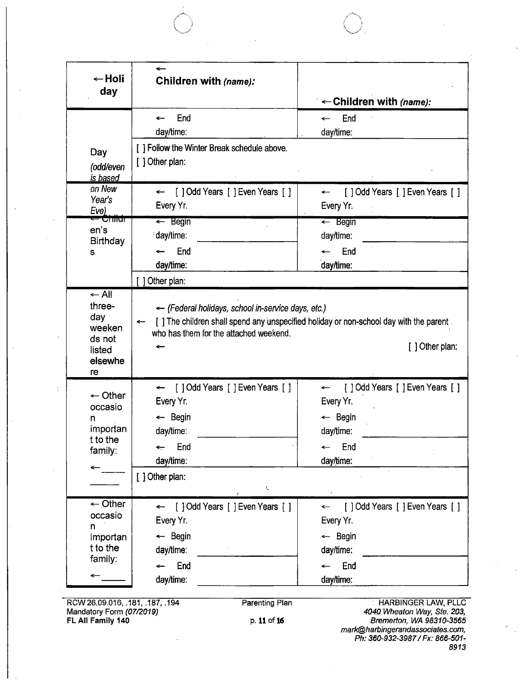| ← Holi<br>day                                                                    | ←<br>Children with (name):                                                                                             | ← Children with (name):                                                                                             |
|----------------------------------------------------------------------------------|------------------------------------------------------------------------------------------------------------------------|---------------------------------------------------------------------------------------------------------------------|
|                                                                                  | End<br>←<br>day/time:                                                                                                  | End<br>$\leftarrow$<br>day/time:                                                                                    |
| Day<br>(odd/even<br>is based                                                     | [ ] Follow the Winter Break schedule above.<br>[ ] Other plan:                                                         |                                                                                                                     |
| on New<br>Year's<br>Eve)                                                         | ← [] Odd Years [] Even Years []<br>Every Yr.                                                                           | [] Odd Years [] Even Years []<br>$\leftarrow$<br>Every Yr.                                                          |
| <del>- Childi</del><br>en's<br><b>Birthday</b><br>S                              | $\leftarrow$ Begin<br>day/time:<br>End<br>$\leftarrow$                                                                 | $\leftarrow$ Begin<br>day/time:<br>End<br>$\leftarrow$                                                              |
|                                                                                  | day/time:<br>] Other plan:                                                                                             | day/time:                                                                                                           |
| $\leftarrow$ All<br>three-<br>day<br>weeken<br>ds not<br>listed<br>elsewhe<br>re | ← (Federal holidays, school in-service days, etc.)<br>who has them for the attached weekend.                           | [ ] The children shall spend any unspecified holiday or non-school day with the parent.<br>[ ] Other plan:          |
| ← Other<br>occasio<br>n<br>importan<br>t to the<br>family:                       | [ ] Odd Years [ ] Even Years [ ]<br>Every Yr.<br>- Begin<br>day/time:<br>End<br>↔<br>day/time:<br>[ ] Other plan:<br>Ç | [] Odd Years [] Even Years []<br>Every Yr.<br>$\leftarrow$ Begin<br>day/time:<br>End<br>$\leftarrow$<br>day/time:   |
| $\leftarrow$ Other<br>occasio<br>n<br>importan<br>t to the<br>family:            | ← [ ] Odd Years [ ] Even Years [ ]<br>Every Yr.<br>$\leftarrow$ Begin<br>day/time:<br>End<br>day/time:                 | ← [] Odd Years [] Even Years []<br>Every Yr.<br>$\leftarrow$ Begin<br>day/time:<br>End<br>$\leftarrow$<br>day/time: |

RCW26.09.016, .181, .187, .194 Mandatory Form *(07/2019)* **FL All Family 140** 

Parenting Plan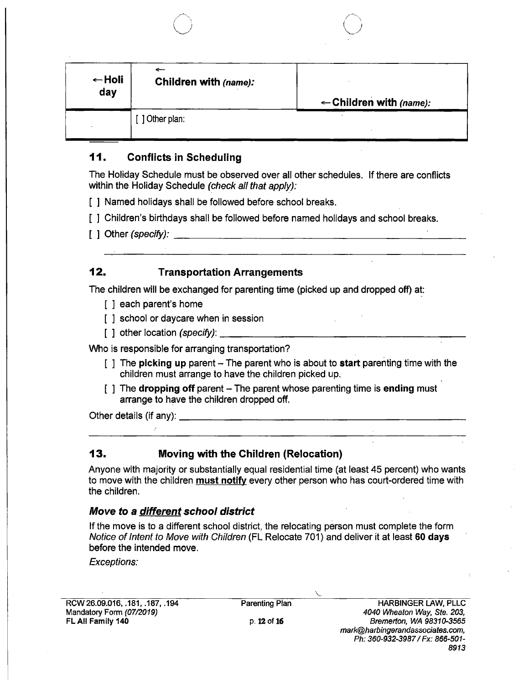| ← Holi<br>day | <b>-</b><br>Children with (name): | $\leftarrow$ Children with (name): |
|---------------|-----------------------------------|------------------------------------|
|               | J Other plan:                     |                                    |

# 11. Conflicts in Scheduling

The Holiday Schedule must be observed over all other schedules. If there are conflicts within the Holiday Schedule (check all that apply):

- [ ] Named holidays shall be followed before school breaks.
- [ ] Children's birthdays shall be followed before named holidays and school breaks.
- [ ] Other (specify): \_\_\_\_\_\_\_\_\_\_\_\_\_\_\_\_\_\_\_\_ \_

# **12. Transportation Arrangements**

The children will be exchanged for parenting time (picked up and dropped off) at:

- [ ] each parent's home
- [ ] school or daycare when in session
- $[ ]$  other location (specify):  $[ ]$

Who is responsible for arranging transportation?

- [ ] The **picking up** parent The parent who is about to **start** parenting time with the children must arrange to have the children picked up.
- [ ] The dropping off parent The parent whose parenting time is ending must arrange to have the children dropped off.

Other details (if any): \_\_\_\_\_\_\_\_\_\_\_\_\_\_\_\_\_\_\_\_\_\_ \_

# **13. Moving with the Children (Relocation)**

Anyone with majority or substantially equal residential time (at least 45 percent) who wants to move with the children **must notify** every other person who has court-ordered time with the children.

# **Move to a different school district**

If the move is to a different school district, the relocating person must complete the form Notice of Intent to Move with Children (FL Relocate 701) and deliver it at least **60 days**  before the intended move.

Exceptions: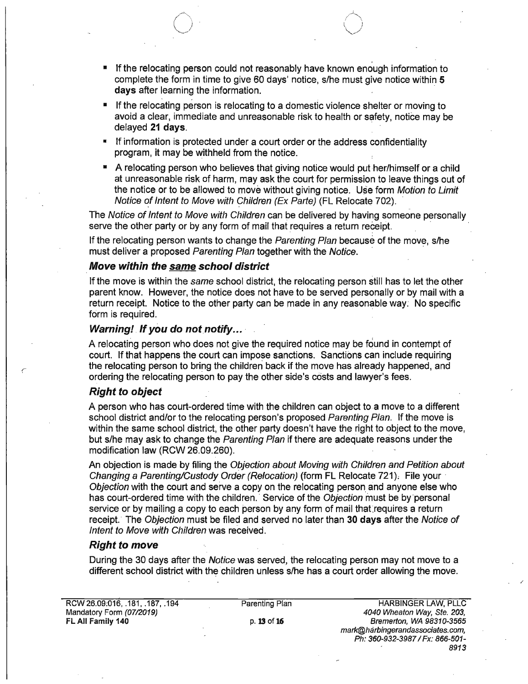- If the relocating person could not reasonably have known enough information to complete the form in time to give 60 days' notice, s/he must give notice within **5**  days after learning the information.
- If the relocating person is relocating to a domestic violence shelter or moving to avoid a clear, immediate and unreasonable risk to health or safety, notice may be delayed **21 days.**
- If information is protected under a court order or the address confidentiality program, it may be withheld from the notice.
- A relocating person who believes that giving notice would put her/himself or a child at unreasonable risk of harm, may ask the court for permission to leave things out of the notice or to be allowed to move without giving notice. Use form Motion to Limit Notice of Intent to Move with Children (Ex Parte) (FL Relocate 702).

The Notice of Intent to Move with Children can be delivered by having someone personally serve the other party or by any form of mail that requires a return receipt.

If the relocating person wants to change the Parenting Plan because of the move, s/he must deliver a proposed Parenting Plan together with the Notice.

### **Move within the same school district**

If the move is within the same school district, the relocating person still has to let the other parent know. However, the notice does not have to be served personally or by mail with a return receipt. Notice to the other party can be made in any reasonable way. No specific form is required.

### **Warning! If you do not notify...**

A relocating person who does not give the required notice may be found in contempt of court. If that happens the court can impose sanctions . Sanctions can include requiring the relocating person to bring the children back if the move has already happened, and ordering the relocating person to pay the other side's costs and lawyer's fees .

### **Right to object**

A person who has court-ordered time with the children can object to a move to a different school district and/or to the relocating person's proposed Parenting Plan. If the move is within the same school district, the other party doesn't have the right to object to the move, but s/he may ask to change the Parenting Plan if there are adequate reasons under the modification law (RCW 26.09.260).

An objection is made by filing the Objection about Moving with Children and Petition about Changing a Parenting/Custody Order (Relocation) (form FL Relocate 721). File your Objection with the court and serve a copy on the relocating person and anyone else who has court-ordered time with the children. Service of the Objection must be by personal service or by mailing a copy to each person by any form of mail that requires a return receipt. The Objection must be filed and served no later than **30 days** after the Notice of Intent to Move with Children was received.

#### **Right to move**

During the 30 days after the *Notice* was served, the relocating person may not move to a different school district with the children unless s/he has a court order allowing the move.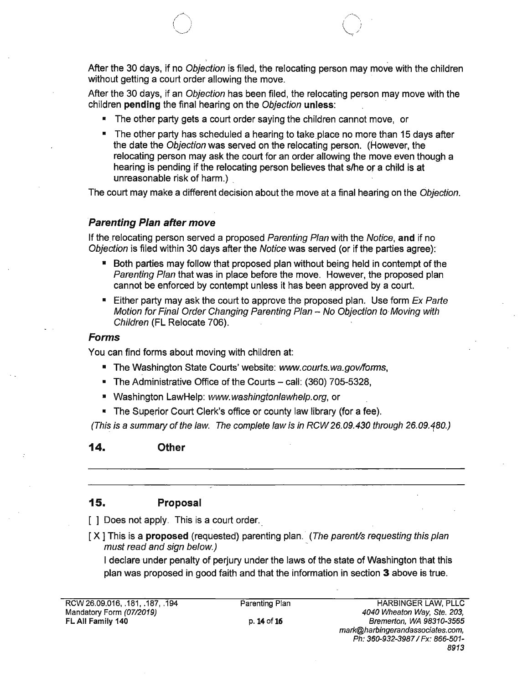After the 30 days, if no Objection is filed, the relocating person may move with the children without getting a court order allowing the move.

After the 30 days, if an Objection has been filed, the relocating person may move with the children **pending** the final hearing on the Objection **unless:** ·

- The other party gets a court order saying the children cannot move, or
- The other party has scheduled a hearing to take place no more than 15 days after the date the Objection was served on the relocating person. (However, the relocating person may ask the court for an order allowing the move even though a hearing is pending if the relocating person believes that s/he or a child is at unreasonable risk of harm.) .

The court may make a different decision about the move at a final hearing on the Objection.

### **Parenting Plan after move**

If the. relocating person served a proposed Parenting Plan with the Notice, **and** if no Objection is filed within 30 days after the Notice was served (or if the parties agree):

- Both parties may follow that proposed plan without being held in contempt of the Parenting Plan that was in place before the move. However, the proposed plan cannot be enforced by contempt unless it has been approved by a court.
- **Either party may ask the court to approve the proposed plan. Use form**  $Ex$  **Parte** Motion for Final Order Changing Parenting Plan - No Objection to Moving with Children (FL Relocate 706).

### **Forms**

You can find forms about moving with children at:

- The Washington State Courts' website: www.courts.wa.gov/forms,
- The Administrative Office of the Courts call: (360) 705-5328,
- **Washington LawHelp: www.washingtonlawhelp.org, or**
- The Superior Court Clerk's office or county law library (for a fee).

(This is a summary of the law. The complete law is in RCW 26.09.430 through 26.09.180.)

### **14. Other**

### **15. Proposal**

[ ] Does not apply. This is a court order.

[X] This is a **proposed** (requested) parenting plan. (The parent/s requesting this plan must read and sign below.)

I declare under penalty of perjury under the laws of the state of Washington that this plan was proposed in good faith and that the information in section **3** above is true.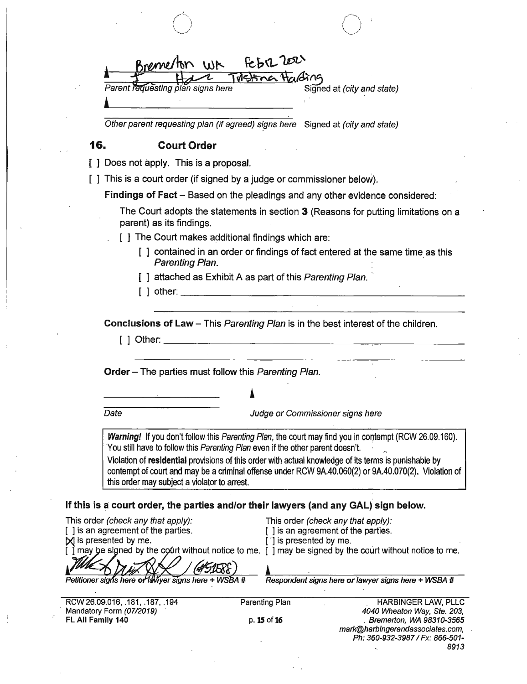| Breme/ton WK                      | FEBR TOD<br>TVISKna Harding |
|-----------------------------------|-----------------------------|
| Parent requesting plan signs here | Signed at (city and state)  |
|                                   |                             |

Other parent requesting plan (if agreed) signs here Signed at (city and state)

## **16. Court Order**

- [ ] Does not apply. This is a proposal.
- [ ] This is a court order (if signed by a judge or commissioner below).

Findings of Fact – Based on the pleadings and any other evidence considered:

The Court adopts the statements in section **3** (Reasons for putting limitations on a parent) as its findings.

- [ ] The Court makes additional findings which are:
	- [ ] contained in an order or findings of fact entered at the same time as this Parenting Plan.
	- [ ] attached as Exhibit A as part of this Parenting Plan.
	- $\begin{bmatrix} \end{bmatrix}$  other:

**Conclusions of Law - This Parenting Plan is in the best interest of the children.** 

[ ] Other: -----------------,-------

**Order** – The parties must follow this Parenting Plan.

Date **Date** Judge or Commissioner signs here

8913

**Warning!** If you don't follow this Parenting Plan, the court may find you in contempt (RCW 26.09.160). You still have to follow this Parenting Plan even if the other parent doesn't.

Violation of **residential** provisions of this order with actual knowledge of its terms is punishable by contempt of court and may be a criminal offense under RCW 9A.40.060(2) or 9A.40.070(2). Violation of this order may subject a violator to arrest.

### **If this is a court order, the parties and/or their lawyers (and any GAL) sign below.**

| This order (check any that apply):                                               |                        | This order (check any that apply):                  |
|----------------------------------------------------------------------------------|------------------------|-----------------------------------------------------|
| [ ] is an agreement of the parties.                                              |                        | [] is an agreement of the parties.                  |
| is presented by me.                                                              | [] is presented by me. |                                                     |
| $\left[\begin{array}{c}\right]$ may be signed by the court without notice to me. |                        | I may be signed by the court without notice to me.  |
| Petitioner signs here or lawyer signs here + WSBA #                              | 451588                 | Respondent signs here or lawyer signs here + WSBA # |
| RCW 26.09.016, .181, .187, .194                                                  | Parenting Plan         | HARBINGER LAW, PLLC                                 |
| Mandatory Form (07/2019)                                                         |                        | 4040 Wheaton Way, Ste. 203,                         |
| FL All Family 140                                                                | p. 15 of 16            | Bremerton, WA 98310-3565                            |
|                                                                                  |                        | mark@harbingerandassociates.com,                    |
|                                                                                  |                        | Ph: 360-932-3987 / Fx: 866-501-                     |